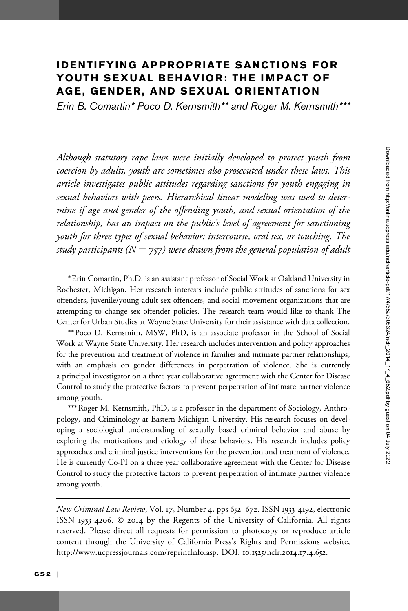# IDENTIFYING APPROPRIATE SANCTIONS FOR YOUTH SEXUAL BEHAVIOR: THE IMPACT OF AGE, GENDER, AND SEXUAL ORIENTATION

Erin B. Comartin\* Poco D. Kernsmith\*\* and Roger M. Kernsmith\*\*\*

Although statutory rape laws were initially developed to protect youth from coercion by adults, youth are sometimes also prosecuted under these laws. This article investigates public attitudes regarding sanctions for youth engaging in sexual behaviors with peers. Hierarchical linear modeling was used to determine if age and gender of the offending youth, and sexual orientation of the relationship, has an impact on the public's level of agreement for sanctioning youth for three types of sexual behavior: intercourse, oral sex, or touching. The study participants ( $N = 757$ ) were drawn from the general population of adult

\*Erin Comartin, Ph.D. is an assistant professor of Social Work at Oakland University in Rochester, Michigan. Her research interests include public attitudes of sanctions for sex offenders, juvenile/young adult sex offenders, and social movement organizations that are attempting to change sex offender policies. The research team would like to thank The Center for Urban Studies at Wayne State University for their assistance with data collection.

\*\*Poco D. Kernsmith, MSW, PhD, is an associate professor in the School of Social Work at Wayne State University. Her research includes intervention and policy approaches for the prevention and treatment of violence in families and intimate partner relationships, with an emphasis on gender differences in perpetration of violence. She is currently a principal investigator on a three year collaborative agreement with the Center for Disease Control to study the protective factors to prevent perpetration of intimate partner violence among youth.

\*\*\*Roger M. Kernsmith, PhD, is a professor in the department of Sociology, Anthropology, and Criminology at Eastern Michigan University. His research focuses on developing a sociological understanding of sexually based criminal behavior and abuse by exploring the motivations and etiology of these behaviors. His research includes policy approaches and criminal justice interventions for the prevention and treatment of violence. He is currently Co-PI on a three year collaborative agreement with the Center for Disease Control to study the protective factors to prevent perpetration of intimate partner violence among youth.

New Criminal Law Review, Vol. 17, Number 4, pps 652–672. ISSN 1933-4192, electronic ISSN 1933-4206. © 2014 by the Regents of the University of California. All rights reserved. Please direct all requests for permission to photocopy or reproduce article content through the University of California Press's Rights and Permissions website, http://www.ucpressjournals.com/reprintInfo.asp. DOI: 10.1525/nclr.2014.17.4.652.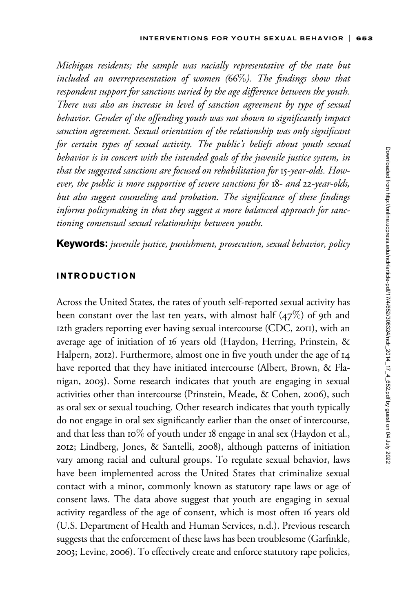Michigan residents; the sample was racially representative of the state but included an overrepresentation of women (66%). The findings show that respondent support for sanctions varied by the age difference between the youth. There was also an increase in level of sanction agreement by type of sexual behavior. Gender of the offending youth was not shown to significantly impact sanction agreement. Sexual orientation of the relationship was only significant for certain types of sexual activity. The public's beliefs about youth sexual behavior is in concert with the intended goals of the juvenile justice system, in that the suggested sanctions are focused on rehabilitation for 15-year-olds. However, the public is more supportive of severe sanctions for 18- and 22-year-olds, but also suggest counseling and probation. The significance of these findings informs policymaking in that they suggest a more balanced approach for sanctioning consensual sexual relationships between youths.

**Keywords:** juvenile justice, punishment, prosecution, sexual behavior, policy

### INTRODUCTION

Across the United States, the rates of youth self-reported sexual activity has been constant over the last ten years, with almost half  $(47%)$  of 9th and 12th graders reporting ever having sexual intercourse (CDC, 2011), with an average age of initiation of 16 years old (Haydon, Herring, Prinstein, & Halpern, 2012). Furthermore, almost one in five youth under the age of 14 have reported that they have initiated intercourse (Albert, Brown, & Flanigan, 2003). Some research indicates that youth are engaging in sexual activities other than intercourse (Prinstein, Meade, & Cohen, 2006), such as oral sex or sexual touching. Other research indicates that youth typically do not engage in oral sex significantly earlier than the onset of intercourse, and that less than 10% of youth under 18 engage in anal sex (Haydon et al., 2012; Lindberg, Jones, & Santelli, 2008), although patterns of initiation vary among racial and cultural groups. To regulate sexual behavior, laws have been implemented across the United States that criminalize sexual contact with a minor, commonly known as statutory rape laws or age of consent laws. The data above suggest that youth are engaging in sexual activity regardless of the age of consent, which is most often 16 years old (U.S. Department of Health and Human Services, n.d.). Previous research suggests that the enforcement of these laws has been troublesome (Garfinkle, 2003; Levine, 2006). To effectively create and enforce statutory rape policies,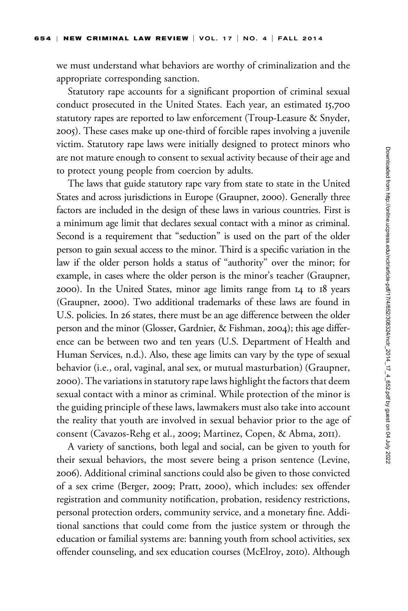we must understand what behaviors are worthy of criminalization and the appropriate corresponding sanction.

Statutory rape accounts for a significant proportion of criminal sexual conduct prosecuted in the United States. Each year, an estimated 15,700 statutory rapes are reported to law enforcement (Troup-Leasure & Snyder, 2005). These cases make up one-third of forcible rapes involving a juvenile victim. Statutory rape laws were initially designed to protect minors who are not mature enough to consent to sexual activity because of their age and to protect young people from coercion by adults.

The laws that guide statutory rape vary from state to state in the United States and across jurisdictions in Europe (Graupner, 2000). Generally three factors are included in the design of these laws in various countries. First is a minimum age limit that declares sexual contact with a minor as criminal. Second is a requirement that "seduction" is used on the part of the older person to gain sexual access to the minor. Third is a specific variation in the law if the older person holds a status of ''authority'' over the minor; for example, in cases where the older person is the minor's teacher (Graupner, 2000). In the United States, minor age limits range from 14 to 18 years (Graupner, 2000). Two additional trademarks of these laws are found in U.S. policies. In 26 states, there must be an age difference between the older person and the minor (Glosser, Gardnier, & Fishman, 2004); this age difference can be between two and ten years (U.S. Department of Health and Human Services, n.d.). Also, these age limits can vary by the type of sexual behavior (i.e., oral, vaginal, anal sex, or mutual masturbation) (Graupner, 2000). The variations in statutory rape laws highlight the factors that deem sexual contact with a minor as criminal. While protection of the minor is the guiding principle of these laws, lawmakers must also take into account the reality that youth are involved in sexual behavior prior to the age of consent (Cavazos-Rehg et al., 2009; Martinez, Copen, & Abma, 2011).

A variety of sanctions, both legal and social, can be given to youth for their sexual behaviors, the most severe being a prison sentence (Levine, 2006). Additional criminal sanctions could also be given to those convicted of a sex crime (Berger, 2009; Pratt, 2000), which includes: sex offender registration and community notification, probation, residency restrictions, personal protection orders, community service, and a monetary fine. Additional sanctions that could come from the justice system or through the education or familial systems are: banning youth from school activities, sex offender counseling, and sex education courses (McElroy, 2010). Although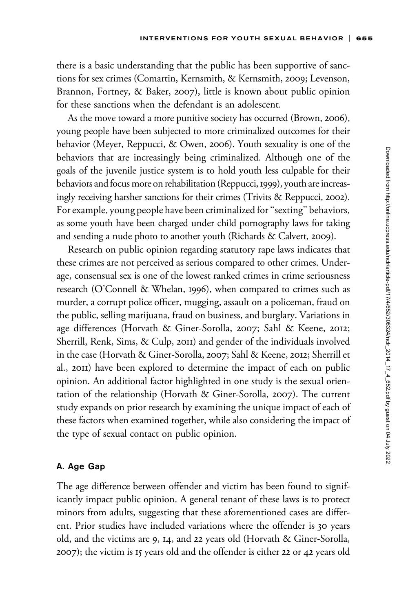there is a basic understanding that the public has been supportive of sanctions for sex crimes (Comartin, Kernsmith, & Kernsmith, 2009; Levenson, Brannon, Fortney, & Baker, 2007), little is known about public opinion for these sanctions when the defendant is an adolescent.

As the move toward a more punitive society has occurred (Brown, 2006), young people have been subjected to more criminalized outcomes for their behavior (Meyer, Reppucci, & Owen, 2006). Youth sexuality is one of the behaviors that are increasingly being criminalized. Although one of the goals of the juvenile justice system is to hold youth less culpable for their behaviors and focus more on rehabilitation (Reppucci, 1999), youth are increasingly receiving harsher sanctions for their crimes (Trivits & Reppucci, 2002). For example, young people have been criminalized for "sexting" behaviors, as some youth have been charged under child pornography laws for taking and sending a nude photo to another youth (Richards & Calvert, 2009).

Research on public opinion regarding statutory rape laws indicates that these crimes are not perceived as serious compared to other crimes. Underage, consensual sex is one of the lowest ranked crimes in crime seriousness research (O'Connell & Whelan, 1996), when compared to crimes such as murder, a corrupt police officer, mugging, assault on a policeman, fraud on the public, selling marijuana, fraud on business, and burglary. Variations in age differences (Horvath & Giner-Sorolla, 2007; Sahl & Keene, 2012; Sherrill, Renk, Sims, & Culp, 2011) and gender of the individuals involved in the case (Horvath & Giner-Sorolla, 2007; Sahl & Keene, 2012; Sherrill et al., 2011) have been explored to determine the impact of each on public opinion. An additional factor highlighted in one study is the sexual orientation of the relationship (Horvath & Giner-Sorolla, 2007). The current study expands on prior research by examining the unique impact of each of these factors when examined together, while also considering the impact of the type of sexual contact on public opinion.

### A. Age Gap

The age difference between offender and victim has been found to significantly impact public opinion. A general tenant of these laws is to protect minors from adults, suggesting that these aforementioned cases are different. Prior studies have included variations where the offender is 30 years old, and the victims are 9, 14, and 22 years old (Horvath & Giner-Sorolla, 2007); the victim is 15 years old and the offender is either 22 or 42 years old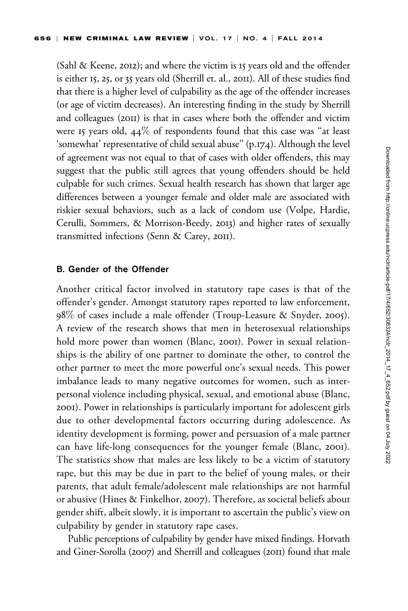(Sahl & Keene, 2012); and where the victim is 15 years old and the offender is either 15, 25, or 35 years old (Sherrill et. al., 2011). All of these studies find that there is a higher level of culpability as the age of the offender increases (or age of victim decreases). An interesting finding in the study by Sherrill and colleagues (2011) is that in cases where both the offender and victim were 15 years old,  $44\%$  of respondents found that this case was "at least 'somewhat' representative of child sexual abuse'' (p.174). Although the level of agreement was not equal to that of cases with older offenders, this may suggest that the public still agrees that young offenders should be held culpable for such crimes. Sexual health research has shown that larger age differences between a younger female and older male are associated with riskier sexual behaviors, such as a lack of condom use (Volpe, Hardie, Cerulli, Sommers, & Morrison-Beedy, 2013) and higher rates of sexually transmitted infections (Senn & Carey, 2011).

### B. Gender of the Offender

Another critical factor involved in statutory rape cases is that of the offender's gender. Amongst statutory rapes reported to law enforcement, 98% of cases include a male offender (Troup-Leasure & Snyder, 2005). A review of the research shows that men in heterosexual relationships hold more power than women (Blanc, 2001). Power in sexual relationships is the ability of one partner to dominate the other, to control the other partner to meet the more powerful one's sexual needs. This power imbalance leads to many negative outcomes for women, such as interpersonal violence including physical, sexual, and emotional abuse (Blanc, 2001). Power in relationships is particularly important for adolescent girls due to other developmental factors occurring during adolescence. As identity development is forming, power and persuasion of a male partner can have life-long consequences for the younger female (Blanc, 2001). The statistics show that males are less likely to be a victim of statutory rape, but this may be due in part to the belief of young males, or their parents, that adult female/adolescent male relationships are not harmful or abusive (Hines & Finkelhor, 2007). Therefore, as societal beliefs about gender shift, albeit slowly, it is important to ascertain the public's view on culpability by gender in statutory rape cases.

Public perceptions of culpability by gender have mixed findings. Horvath and Giner-Sorolla (2007) and Sherrill and colleagues (2011) found that male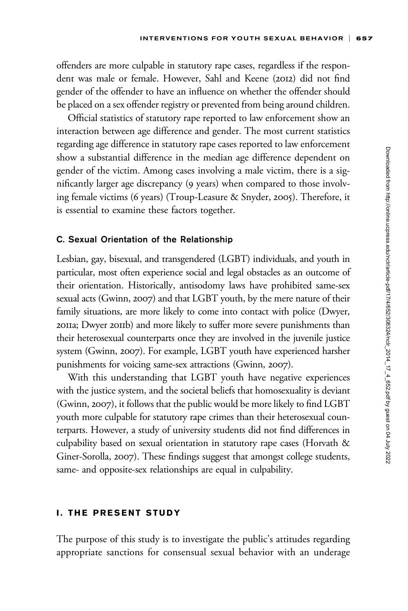offenders are more culpable in statutory rape cases, regardless if the respondent was male or female. However, Sahl and Keene (2012) did not find gender of the offender to have an influence on whether the offender should be placed on a sex offender registry or prevented from being around children.

Official statistics of statutory rape reported to law enforcement show an interaction between age difference and gender. The most current statistics regarding age difference in statutory rape cases reported to law enforcement show a substantial difference in the median age difference dependent on gender of the victim. Among cases involving a male victim, there is a significantly larger age discrepancy (9 years) when compared to those involving female victims (6 years) (Troup-Leasure & Snyder, 2005). Therefore, it is essential to examine these factors together.

### C. Sexual Orientation of the Relationship

Lesbian, gay, bisexual, and transgendered (LGBT) individuals, and youth in particular, most often experience social and legal obstacles as an outcome of their orientation. Historically, antisodomy laws have prohibited same-sex sexual acts (Gwinn, 2007) and that LGBT youth, by the mere nature of their family situations, are more likely to come into contact with police (Dwyer, 2011a; Dwyer 2011b) and more likely to suffer more severe punishments than their heterosexual counterparts once they are involved in the juvenile justice system (Gwinn, 2007). For example, LGBT youth have experienced harsher punishments for voicing same-sex attractions (Gwinn, 2007).

With this understanding that LGBT youth have negative experiences with the justice system, and the societal beliefs that homosexuality is deviant (Gwinn, 2007), it follows that the public would be more likely to find LGBT youth more culpable for statutory rape crimes than their heterosexual counterparts. However, a study of university students did not find differences in culpability based on sexual orientation in statutory rape cases (Horvath & Giner-Sorolla, 2007). These findings suggest that amongst college students, same- and opposite-sex relationships are equal in culpability.

### I. THE PRESENT STUDY

The purpose of this study is to investigate the public's attitudes regarding appropriate sanctions for consensual sexual behavior with an underage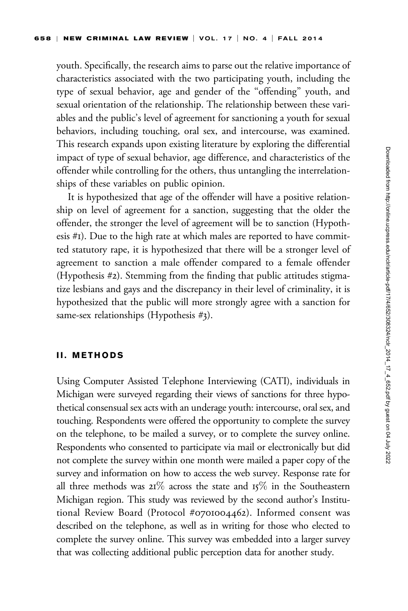youth. Specifically, the research aims to parse out the relative importance of characteristics associated with the two participating youth, including the type of sexual behavior, age and gender of the ''offending'' youth, and sexual orientation of the relationship. The relationship between these variables and the public's level of agreement for sanctioning a youth for sexual behaviors, including touching, oral sex, and intercourse, was examined. This research expands upon existing literature by exploring the differential impact of type of sexual behavior, age difference, and characteristics of the offender while controlling for the others, thus untangling the interrelationships of these variables on public opinion.

It is hypothesized that age of the offender will have a positive relationship on level of agreement for a sanction, suggesting that the older the offender, the stronger the level of agreement will be to sanction (Hypothesis #1). Due to the high rate at which males are reported to have committed statutory rape, it is hypothesized that there will be a stronger level of agreement to sanction a male offender compared to a female offender (Hypothesis #2). Stemming from the finding that public attitudes stigmatize lesbians and gays and the discrepancy in their level of criminality, it is hypothesized that the public will more strongly agree with a sanction for same-sex relationships (Hypothesis #3).

## II. METHODS

Using Computer Assisted Telephone Interviewing (CATI), individuals in Michigan were surveyed regarding their views of sanctions for three hypothetical consensual sex acts with an underage youth: intercourse, oral sex, and touching. Respondents were offered the opportunity to complete the survey on the telephone, to be mailed a survey, or to complete the survey online. Respondents who consented to participate via mail or electronically but did not complete the survey within one month were mailed a paper copy of the survey and information on how to access the web survey. Response rate for all three methods was  $2I\%$  across the state and  $15\%$  in the Southeastern Michigan region. This study was reviewed by the second author's Institutional Review Board (Protocol #0701004462). Informed consent was described on the telephone, as well as in writing for those who elected to complete the survey online. This survey was embedded into a larger survey that was collecting additional public perception data for another study.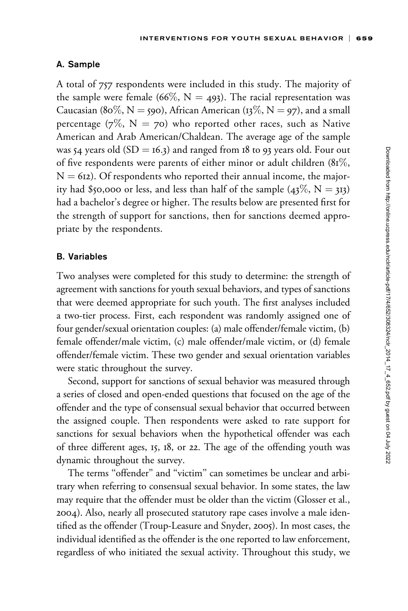### A. Sample

A total of 757 respondents were included in this study. The majority of the sample were female (66%, N = 493). The racial representation was Caucasian (80%, N = 590), African American (13%, N = 97), and a small percentage ( $7\%$ , N =  $70$ ) who reported other races, such as Native American and Arab American/Chaldean. The average age of the sample was 54 years old  $(SD = 16.3)$  and ranged from 18 to 93 years old. Four out of five respondents were parents of either minor or adult children (81%,  $N = 612$ ). Of respondents who reported their annual income, the majority had \$50,000 or less, and less than half of the sample  $(43\%, N = 313)$ had a bachelor's degree or higher. The results below are presented first for the strength of support for sanctions, then for sanctions deemed appropriate by the respondents.

### B. Variables

Two analyses were completed for this study to determine: the strength of agreement with sanctions for youth sexual behaviors, and types of sanctions that were deemed appropriate for such youth. The first analyses included a two-tier process. First, each respondent was randomly assigned one of four gender/sexual orientation couples: (a) male offender/female victim, (b) female offender/male victim, (c) male offender/male victim, or (d) female offender/female victim. These two gender and sexual orientation variables were static throughout the survey.

Second, support for sanctions of sexual behavior was measured through a series of closed and open-ended questions that focused on the age of the offender and the type of consensual sexual behavior that occurred between the assigned couple. Then respondents were asked to rate support for sanctions for sexual behaviors when the hypothetical offender was each of three different ages, 15, 18, or 22. The age of the offending youth was dynamic throughout the survey.

The terms "offender" and "victim" can sometimes be unclear and arbitrary when referring to consensual sexual behavior. In some states, the law may require that the offender must be older than the victim (Glosser et al., 2004). Also, nearly all prosecuted statutory rape cases involve a male identified as the offender (Troup-Leasure and Snyder, 2005). In most cases, the individual identified as the offender is the one reported to law enforcement, regardless of who initiated the sexual activity. Throughout this study, we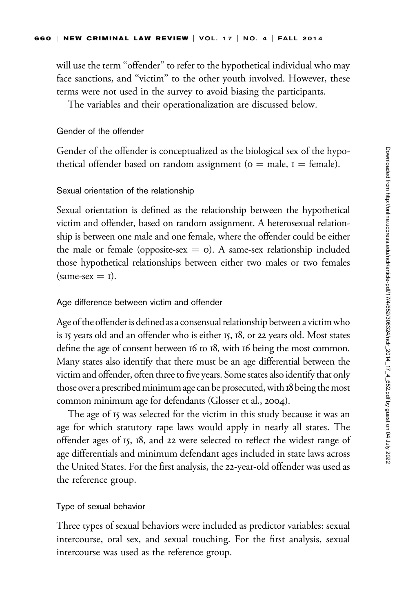will use the term "offender" to refer to the hypothetical individual who may face sanctions, and ''victim'' to the other youth involved. However, these terms were not used in the survey to avoid biasing the participants.

The variables and their operationalization are discussed below.

### Gender of the offender

Gender of the offender is conceptualized as the biological sex of the hypothetical offender based on random assignment ( $o =$  male,  $I =$  female).

Sexual orientation of the relationship

Sexual orientation is defined as the relationship between the hypothetical victim and offender, based on random assignment. A heterosexual relationship is between one male and one female, where the offender could be either the male or female (opposite-sex  $=$  0). A same-sex relationship included those hypothetical relationships between either two males or two females  $(same-sex = I).$ 

### Age difference between victim and offender

Age of the offender is defined as a consensual relationship between a victim who is 15 years old and an offender who is either 15, 18, or 22 years old. Most states define the age of consent between 16 to 18, with 16 being the most common. Many states also identify that there must be an age differential between the victim and offender, often three to five years. Some states also identify that only those over a prescribed minimum age can be prosecuted, with 18 being the most common minimum age for defendants (Glosser et al., 2004).

The age of 15 was selected for the victim in this study because it was an age for which statutory rape laws would apply in nearly all states. The offender ages of 15, 18, and 22 were selected to reflect the widest range of age differentials and minimum defendant ages included in state laws across the United States. For the first analysis, the 22-year-old offender was used as the reference group.

### Type of sexual behavior

Three types of sexual behaviors were included as predictor variables: sexual intercourse, oral sex, and sexual touching. For the first analysis, sexual intercourse was used as the reference group.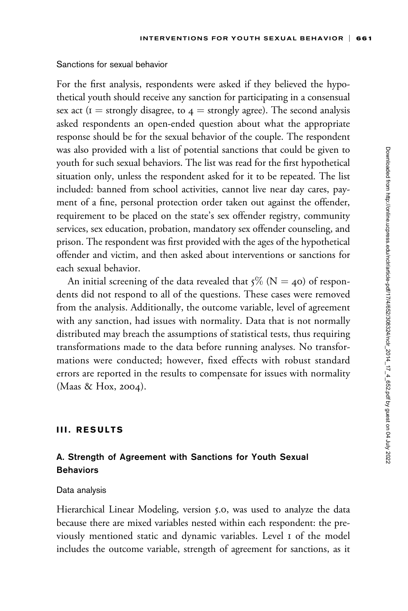### Sanctions for sexual behavior

For the first analysis, respondents were asked if they believed the hypothetical youth should receive any sanction for participating in a consensual sex act ( $I =$  strongly disagree, to  $4 =$  strongly agree). The second analysis asked respondents an open-ended question about what the appropriate response should be for the sexual behavior of the couple. The respondent was also provided with a list of potential sanctions that could be given to youth for such sexual behaviors. The list was read for the first hypothetical situation only, unless the respondent asked for it to be repeated. The list included: banned from school activities, cannot live near day cares, payment of a fine, personal protection order taken out against the offender, requirement to be placed on the state's sex offender registry, community services, sex education, probation, mandatory sex offender counseling, and prison. The respondent was first provided with the ages of the hypothetical offender and victim, and then asked about interventions or sanctions for each sexual behavior.

An initial screening of the data revealed that  $5\%$  (N = 40) of respondents did not respond to all of the questions. These cases were removed from the analysis. Additionally, the outcome variable, level of agreement with any sanction, had issues with normality. Data that is not normally distributed may breach the assumptions of statistical tests, thus requiring transformations made to the data before running analyses. No transformations were conducted; however, fixed effects with robust standard errors are reported in the results to compensate for issues with normality (Maas & Hox, 2004).

## III. RESULTS

## A. Strength of Agreement with Sanctions for Youth Sexual Behaviors

### Data analysis

Hierarchical Linear Modeling, version 5.0, was used to analyze the data because there are mixed variables nested within each respondent: the previously mentioned static and dynamic variables. Level 1 of the model includes the outcome variable, strength of agreement for sanctions, as it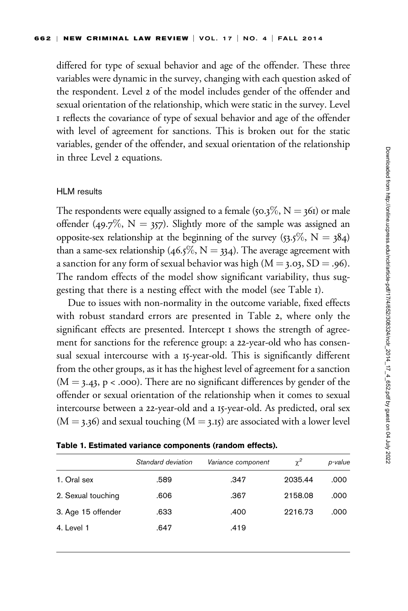differed for type of sexual behavior and age of the offender. These three variables were dynamic in the survey, changing with each question asked of the respondent. Level 2 of the model includes gender of the offender and sexual orientation of the relationship, which were static in the survey. Level 1 reflects the covariance of type of sexual behavior and age of the offender with level of agreement for sanctions. This is broken out for the static variables, gender of the offender, and sexual orientation of the relationship in three Level 2 equations.

### HLM results

The respondents were equally assigned to a female (50.3%,  $N = 361$ ) or male offender (49.7%,  $N = 357$ ). Slightly more of the sample was assigned an opposite-sex relationship at the beginning of the survey  $(53.5\%, N = 384)$ than a same-sex relationship (46.5%,  $N = 334$ ). The average agreement with a sanction for any form of sexual behavior was high  $(M = 3.03, SD = .96)$ . The random effects of the model show significant variability, thus suggesting that there is a nesting effect with the model (see Table 1).

Due to issues with non-normality in the outcome variable, fixed effects with robust standard errors are presented in Table 2, where only the significant effects are presented. Intercept 1 shows the strength of agreement for sanctions for the reference group: a 22-year-old who has consensual sexual intercourse with a 15-year-old. This is significantly different from the other groups, as it has the highest level of agreement for a sanction  $(M = 3.43, p < .000)$ . There are no significant differences by gender of the offender or sexual orientation of the relationship when it comes to sexual intercourse between a 22-year-old and a 15-year-old. As predicted, oral sex  $(M = 3.36)$  and sexual touching  $(M = 3.15)$  are associated with a lower level

|                    | Standard deviation | Variance component | $\gamma^2$ | p-value |
|--------------------|--------------------|--------------------|------------|---------|
| 1. Oral sex        | .589               | .347               | 2035.44    | .000    |
| 2. Sexual touching | .606               | .367               | 2158.08    | .000    |
| 3. Age 15 offender | .633               | .400               | 2216.73    | .000    |
| 4. Level 1         | .647               | .419               |            |         |
|                    |                    |                    |            |         |

|  |  |  | Table 1. Estimated variance components (random effects). |  |  |
|--|--|--|----------------------------------------------------------|--|--|
|--|--|--|----------------------------------------------------------|--|--|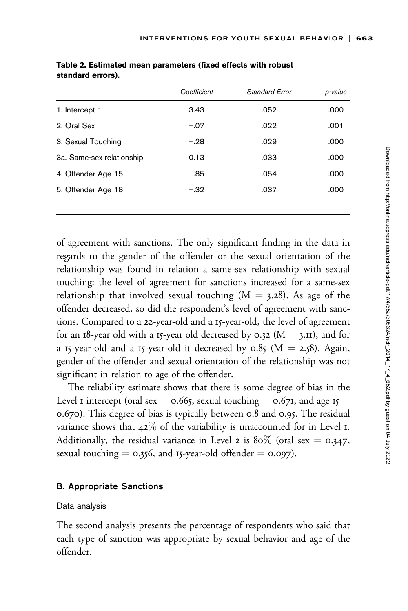|                           | Coefficient | Standard Error | p-value |
|---------------------------|-------------|----------------|---------|
| 1. Intercept 1            | 3.43        | .052           | .000    |
| 2. Oral Sex               | $-.07$      | .022           | .001    |
| 3. Sexual Touching        | $-.28$      | .029           | .000    |
| 3a. Same-sex relationship | 0.13        | .033           | .000    |
| 4. Offender Age 15        | $-.85$      | .054           | .000    |
| 5. Offender Age 18        | $-.32$      | .037           | .000    |
|                           |             |                |         |

Table 2. Estimated mean parameters (fixed effects with robust standard errors).

of agreement with sanctions. The only significant finding in the data in regards to the gender of the offender or the sexual orientation of the relationship was found in relation a same-sex relationship with sexual touching: the level of agreement for sanctions increased for a same-sex relationship that involved sexual touching ( $M = 3.28$ ). As age of the offender decreased, so did the respondent's level of agreement with sanctions. Compared to a 22-year-old and a 15-year-old, the level of agreement for an 18-year old with a 15-year old decreased by 0.32 ( $M = 3.11$ ), and for a 15-year-old and a 15-year-old it decreased by  $0.85$  (M = 2.58). Again, gender of the offender and sexual orientation of the relationship was not significant in relation to age of the offender.

The reliability estimate shows that there is some degree of bias in the Level 1 intercept (oral sex =  $0.665$ , sexual touching =  $0.671$ , and age 15 = 0.670). This degree of bias is typically between 0.8 and 0.95. The residual variance shows that  $42\%$  of the variability is unaccounted for in Level 1. Additionally, the residual variance in Level 2 is 80% (oral sex  $= 0.347$ , sexual touching  $= 0.356$ , and 15-year-old offender  $= 0.097$ ).

### B. Appropriate Sanctions

### Data analysis

The second analysis presents the percentage of respondents who said that each type of sanction was appropriate by sexual behavior and age of the offender.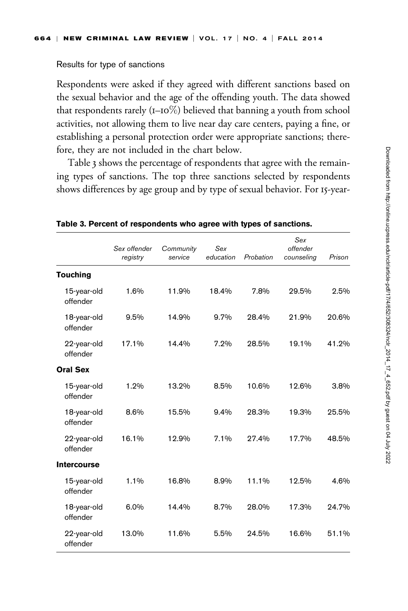### Results for type of sanctions

Respondents were asked if they agreed with different sanctions based on the sexual behavior and the age of the offending youth. The data showed that respondents rarely  $(I - I^o\%)$  believed that banning a youth from school activities, not allowing them to live near day care centers, paying a fine, or establishing a personal protection order were appropriate sanctions; therefore, they are not included in the chart below.

Table 3 shows the percentage of respondents that agree with the remaining types of sanctions. The top three sanctions selected by respondents shows differences by age group and by type of sexual behavior. For 15-year-

|                         | Sex offender<br>registry | Community<br>service | Sex<br>education | Probation | Sex<br>offender<br>counseling | Prison |
|-------------------------|--------------------------|----------------------|------------------|-----------|-------------------------------|--------|
| <b>Touching</b>         |                          |                      |                  |           |                               |        |
| 15-year-old<br>offender | 1.6%                     | 11.9%                | 18.4%            | 7.8%      | 29.5%                         | 2.5%   |
| 18-year-old<br>offender | 9.5%                     | 14.9%                | 9.7%             | 28.4%     | 21.9%                         | 20.6%  |
| 22-year-old<br>offender | 17.1%                    | 14.4%                | 7.2%             | 28.5%     | 19.1%                         | 41.2%  |
| <b>Oral Sex</b>         |                          |                      |                  |           |                               |        |
| 15-year-old<br>offender | 1.2%                     | 13.2%                | 8.5%             | 10.6%     | 12.6%                         | 3.8%   |
| 18-year-old<br>offender | 8.6%                     | 15.5%                | 9.4%             | 28.3%     | 19.3%                         | 25.5%  |
| 22-year-old<br>offender | 16.1%                    | 12.9%                | 7.1%             | 27.4%     | 17.7%                         | 48.5%  |
| <b>Intercourse</b>      |                          |                      |                  |           |                               |        |
| 15-year-old<br>offender | 1.1%                     | 16.8%                | 8.9%             | 11.1%     | 12.5%                         | 4.6%   |
| 18-year-old<br>offender | 6.0%                     | 14.4%                | 8.7%             | 28.0%     | 17.3%                         | 24.7%  |
| 22-year-old<br>offender | 13.0%                    | 11.6%                | 5.5%             | 24.5%     | 16.6%                         | 51.1%  |

Table 3. Percent of respondents who agree with types of sanctions.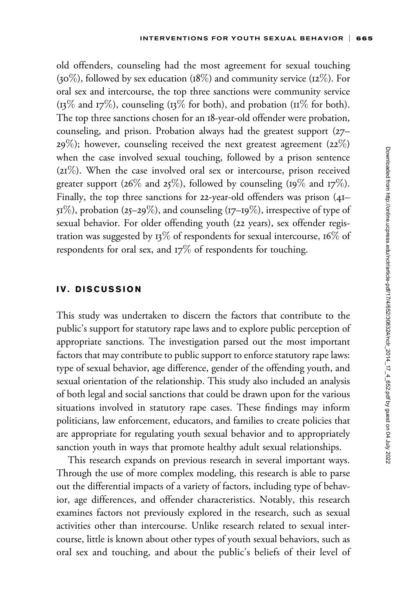old offenders, counseling had the most agreement for sexual touching (30%), followed by sex education (18%) and community service (12%). For oral sex and intercourse, the top three sanctions were community service (13% and 17%), counseling (13% for both), and probation (11% for both). The top three sanctions chosen for an 18-year-old offender were probation, counseling, and prison. Probation always had the greatest support (27– 29%); however, counseling received the next greatest agreement ( $22\%$ ) when the case involved sexual touching, followed by a prison sentence (21%). When the case involved oral sex or intercourse, prison received greater support (26% and 25%), followed by counseling (19% and 17%). Finally, the top three sanctions for 22-year-old offenders was prison (41–  $51\%$ ), probation (25–29%), and counseling (17–19%), irrespective of type of sexual behavior. For older offending youth (22 years), sex offender registration was suggested by  $13\%$  of respondents for sexual intercourse,  $16\%$  of respondents for oral sex, and 17% of respondents for touching.

### IV. DISCUSSION

This study was undertaken to discern the factors that contribute to the public's support for statutory rape laws and to explore public perception of appropriate sanctions. The investigation parsed out the most important factors that may contribute to public support to enforce statutory rape laws: type of sexual behavior, age difference, gender of the offending youth, and sexual orientation of the relationship. This study also included an analysis of both legal and social sanctions that could be drawn upon for the various situations involved in statutory rape cases. These findings may inform politicians, law enforcement, educators, and families to create policies that are appropriate for regulating youth sexual behavior and to appropriately sanction youth in ways that promote healthy adult sexual relationships.

This research expands on previous research in several important ways. Through the use of more complex modeling, this research is able to parse out the differential impacts of a variety of factors, including type of behavior, age differences, and offender characteristics. Notably, this research examines factors not previously explored in the research, such as sexual activities other than intercourse. Unlike research related to sexual intercourse, little is known about other types of youth sexual behaviors, such as oral sex and touching, and about the public's beliefs of their level of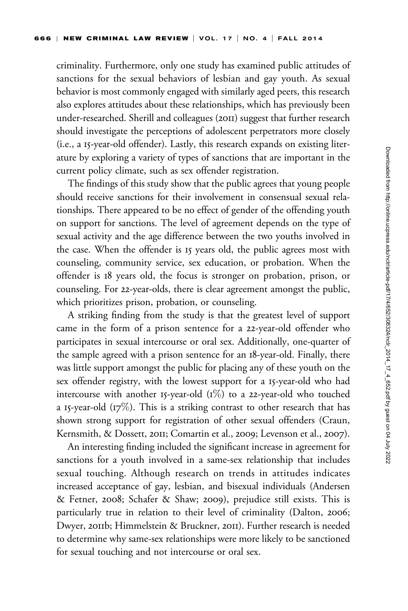criminality. Furthermore, only one study has examined public attitudes of sanctions for the sexual behaviors of lesbian and gay youth. As sexual behavior is most commonly engaged with similarly aged peers, this research also explores attitudes about these relationships, which has previously been under-researched. Sherill and colleagues (2011) suggest that further research should investigate the perceptions of adolescent perpetrators more closely (i.e., a 15-year-old offender). Lastly, this research expands on existing literature by exploring a variety of types of sanctions that are important in the current policy climate, such as sex offender registration.

The findings of this study show that the public agrees that young people should receive sanctions for their involvement in consensual sexual relationships. There appeared to be no effect of gender of the offending youth on support for sanctions. The level of agreement depends on the type of sexual activity and the age difference between the two youths involved in the case. When the offender is 15 years old, the public agrees most with counseling, community service, sex education, or probation. When the offender is 18 years old, the focus is stronger on probation, prison, or counseling. For 22-year-olds, there is clear agreement amongst the public, which prioritizes prison, probation, or counseling.

A striking finding from the study is that the greatest level of support came in the form of a prison sentence for a 22-year-old offender who participates in sexual intercourse or oral sex. Additionally, one-quarter of the sample agreed with a prison sentence for an 18-year-old. Finally, there was little support amongst the public for placing any of these youth on the sex offender registry, with the lowest support for a 15-year-old who had intercourse with another 15-year-old  $(I\%)$  to a 22-year-old who touched a 15-year-old  $(\frac{17}{\%)}$ . This is a striking contrast to other research that has shown strong support for registration of other sexual offenders (Craun, Kernsmith, & Dossett, 2011; Comartin et al., 2009; Levenson et al., 2007).

An interesting finding included the significant increase in agreement for sanctions for a youth involved in a same-sex relationship that includes sexual touching. Although research on trends in attitudes indicates increased acceptance of gay, lesbian, and bisexual individuals (Andersen & Fetner, 2008; Schafer & Shaw; 2009), prejudice still exists. This is particularly true in relation to their level of criminality (Dalton, 2006; Dwyer, 2011b; Himmelstein & Bruckner, 2011). Further research is needed to determine why same-sex relationships were more likely to be sanctioned for sexual touching and not intercourse or oral sex.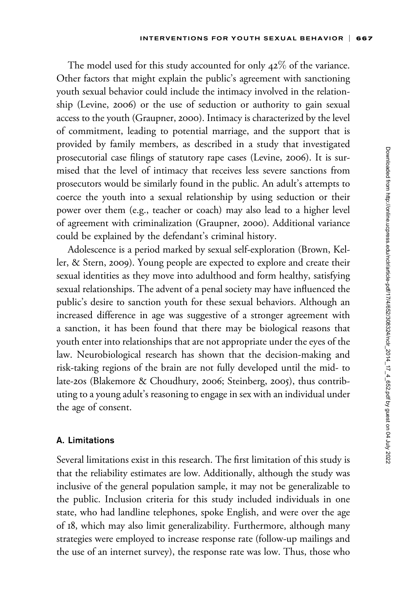The model used for this study accounted for only 42% of the variance. Other factors that might explain the public's agreement with sanctioning youth sexual behavior could include the intimacy involved in the relationship (Levine, 2006) or the use of seduction or authority to gain sexual access to the youth (Graupner, 2000). Intimacy is characterized by the level of commitment, leading to potential marriage, and the support that is provided by family members, as described in a study that investigated prosecutorial case filings of statutory rape cases (Levine, 2006). It is surmised that the level of intimacy that receives less severe sanctions from prosecutors would be similarly found in the public. An adult's attempts to coerce the youth into a sexual relationship by using seduction or their power over them (e.g., teacher or coach) may also lead to a higher level of agreement with criminalization (Graupner, 2000). Additional variance could be explained by the defendant's criminal history.

Adolescence is a period marked by sexual self-exploration (Brown, Keller, & Stern, 2009). Young people are expected to explore and create their sexual identities as they move into adulthood and form healthy, satisfying sexual relationships. The advent of a penal society may have influenced the public's desire to sanction youth for these sexual behaviors. Although an increased difference in age was suggestive of a stronger agreement with a sanction, it has been found that there may be biological reasons that youth enter into relationships that are not appropriate under the eyes of the law. Neurobiological research has shown that the decision-making and risk-taking regions of the brain are not fully developed until the mid- to late-20s (Blakemore & Choudhury, 2006; Steinberg, 2005), thus contributing to a young adult's reasoning to engage in sex with an individual under the age of consent.

### A. Limitations

Several limitations exist in this research. The first limitation of this study is that the reliability estimates are low. Additionally, although the study was inclusive of the general population sample, it may not be generalizable to the public. Inclusion criteria for this study included individuals in one state, who had landline telephones, spoke English, and were over the age of 18, which may also limit generalizability. Furthermore, although many strategies were employed to increase response rate (follow-up mailings and the use of an internet survey), the response rate was low. Thus, those who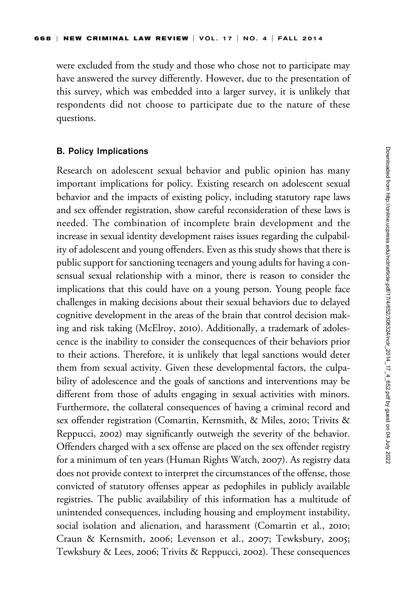were excluded from the study and those who chose not to participate may have answered the survey differently. However, due to the presentation of this survey, which was embedded into a larger survey, it is unlikely that respondents did not choose to participate due to the nature of these questions.

### B. Policy Implications

Research on adolescent sexual behavior and public opinion has many important implications for policy. Existing research on adolescent sexual behavior and the impacts of existing policy, including statutory rape laws and sex offender registration, show careful reconsideration of these laws is needed. The combination of incomplete brain development and the increase in sexual identity development raises issues regarding the culpability of adolescent and young offenders. Even as this study shows that there is public support for sanctioning teenagers and young adults for having a consensual sexual relationship with a minor, there is reason to consider the implications that this could have on a young person. Young people face challenges in making decisions about their sexual behaviors due to delayed cognitive development in the areas of the brain that control decision making and risk taking (McElroy, 2010). Additionally, a trademark of adolescence is the inability to consider the consequences of their behaviors prior to their actions. Therefore, it is unlikely that legal sanctions would deter them from sexual activity. Given these developmental factors, the culpability of adolescence and the goals of sanctions and interventions may be different from those of adults engaging in sexual activities with minors. Furthermore, the collateral consequences of having a criminal record and sex offender registration (Comartin, Kernsmith, & Miles, 2010; Trivits & Reppucci, 2002) may significantly outweigh the severity of the behavior. Offenders charged with a sex offense are placed on the sex offender registry for a minimum of ten years (Human Rights Watch, 2007). As registry data does not provide context to interpret the circumstances of the offense, those convicted of statutory offenses appear as pedophiles in publicly available registries. The public availability of this information has a multitude of unintended consequences, including housing and employment instability, social isolation and alienation, and harassment (Comartin et al., 2010; Craun & Kernsmith, 2006; Levenson et al., 2007; Tewksbury, 2005; Tewksbury & Lees, 2006; Trivits & Reppucci, 2002). These consequences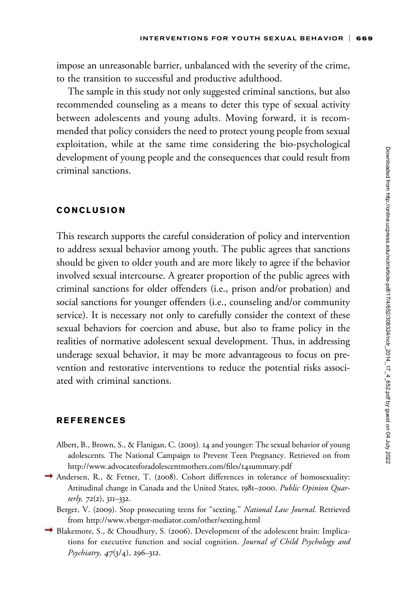impose an unreasonable barrier, unbalanced with the severity of the crime, to the transition to successful and productive adulthood.

The sample in this study not only suggested criminal sanctions, but also recommended counseling as a means to deter this type of sexual activity between adolescents and young adults. Moving forward, it is recommended that policy considers the need to protect young people from sexual exploitation, while at the same time considering the bio-psychological development of young people and the consequences that could result from criminal sanctions.

### CONCLUSION

This research supports the careful consideration of policy and intervention to address sexual behavior among youth. The public agrees that sanctions should be given to older youth and are more likely to agree if the behavior involved sexual intercourse. A greater proportion of the public agrees with criminal sanctions for older offenders (i.e., prison and/or probation) and social sanctions for younger offenders (i.e., counseling and/or community service). It is necessary not only to carefully consider the context of these sexual behaviors for coercion and abuse, but also to frame policy in the realities of normative adolescent sexual development. Thus, in addressing underage sexual behavior, it may be more advantageous to focus on prevention and restorative interventions to reduce the potential risks associated with criminal sanctions.

### REFERENCES

- Albert, B., Brown, S., & Flanigan, C. (2003). 14 and younger: The sexual behavior of young adolescents. The National Campaign to Prevent Teen Pregnancy. Retrieved on from [http://www.advocatesforadolescentmothers.com/files/](http://www.advocatesforadolescentmothers.com/files/14summary.pdf)14summary.pdf
- $\rightarrow$  Andersen, R., & Fetner, T. (2008). Cohort differences in tolerance of homosexuality: Attitudinal change in Canada and the United States, 1981-2000. Public Opinion Quarterly,  $72(2)$ ,  $3II-332$ .
	- Berger, V. (2009). Stop prosecuting teens for "sexting." National Law Journal. Retrieved from<http://www.vberger-mediator.com/other/sexting.html>
- Blakemore, S., & Choudhury, S. (2006). Development of the adolescent brain: Implications for executive function and social cognition. Journal of Child Psychology and Psychiatry, 47(3/4), 296–312.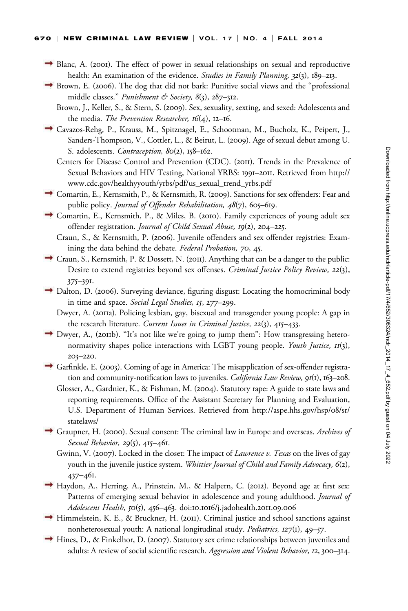#### 670 | NEW CRIMINAL LAW REVIEW | VOL. 17 | NO. 4 | FALL 2014

- Blanc, A. (2001). The effect of power in sexual relationships on sexual and reproductive health: An examination of the evidence. Studies in Family Planning, 32(3), 189–213.
- $\rightarrow$  Brown, E. (2006). The dog that did not bark: Punitive social views and the "professional" middle classes." Punishment & Society,  $8(3)$ ,  $287-312$ .
	- Brown, J., Keller, S., & Stern, S. (2009). Sex, sexuality, sexting, and sexed: Adolescents and the media. The Prevention Researcher,  $16(4)$ ,  $12-16$ .
- Cavazos-Rehg, P., Krauss, M., Spitznagel, E., Schootman, M., Bucholz, K., Peipert, J., Sanders-Thompson, V., Cottler, L., & Beirut, L. (2009). Age of sexual debut among U. S. adolescents. Contraception, 80(2), 158-162.
	- Centers for Disease Control and Prevention (CDC). (2011). Trends in the Prevalence of Sexual Behaviors and HIV Testing, National YRBS: 1991–2011. Retrieved from [http://](http://www.cdc.gov/healthyyouth/yrbs/pdf/us_sexual_trend_yrbs.pdf) [www.cdc.gov/healthyyouth/yrbs/pdf/us\\_sexual\\_trend\\_yrbs.pdf](http://www.cdc.gov/healthyyouth/yrbs/pdf/us_sexual_trend_yrbs.pdf)
- Comartin, E., Kernsmith, P., & Kernsmith, R. (2009). Sanctions for sex offenders: Fear and public policy. Journal of Offender Rehabilitation, 48(7), 605-619.
- Comartin, E., Kernsmith, P., & Miles, B. (2010). Family experiences of young adult sex offender registration. Journal of Child Sexual Abuse, 19(2), 204–225.
	- Craun, S., & Kernsmith, P. (2006). Juvenile offenders and sex offender registries: Examining the data behind the debate. Federal Probation, 70, 45.
- Craun, S., Kernsmith, P. & Dossett, N. (2011). Anything that can be a danger to the public: Desire to extend registries beyond sex offenses. Criminal Justice Policy Review, 22(3), 375–391.
- → Dalton, D. (2006). Surveying deviance, figuring disgust: Locating the homocriminal body in time and space. Social Legal Studies, 15, 277-299.
	- Dwyer, A. (2011a). Policing lesbian, gay, bisexual and transgender young people: A gap in the research literature. Current Issues in Criminal Justice, 22(3), 415-433.
- Dwyer, A., (2011b). ''It's not like we're going to jump them'': How transgressing heteronormativity shapes police interactions with LGBT young people. Youth Justice, 11(3), 203–220.
- Garfinkle, E. (2003). Coming of age in America: The misapplication of sex-offender registration and community-notification laws to juveniles. California Law Review, 91(1), 163-208.
	- Glosser, A., Gardnier, K., & Fishman, M. (2004). Statutory rape: A guide to state laws and reporting requirements. Office of the Assistant Secretary for Planning and Evaluation, U.S. Department of Human Services. Retrieved from [http://aspe.hhs.gov/hsp/](http://aspe.hhs.gov/hsp/08/sr/statelaws/)08/sr/ [statelaws/](http://aspe.hhs.gov/hsp/08/sr/statelaws/)
- Graupner, H. (2000). Sexual consent: The criminal law in Europe and overseas. Archives of Sexual Behavior, 29(5), 415–461.
	- Gwinn, V. (2007). Locked in the closet: The impact of *Lawrence v. Texas* on the lives of gay youth in the juvenile justice system. Whittier Journal of Child and Family Advocacy, 6(2), 437–461.
- Haydon, A., Herring, A., Prinstein, M., & Halpern, C. (2012). Beyond age at first sex: Patterns of emerging sexual behavior in adolescence and young adulthood. Journal of Adolescent Health, 50(5), 456–463. doi:10.1016/j.jadohealth.2011.09.006
- $\rightarrow$  Himmelstein, K. E., & Bruckner, H. (2011). Criminal justice and school sanctions against nonheterosexual youth: A national longitudinal study. Pediatrics, 127(1), 49–57.
- Hines, D., & Finkelhor, D. (2007). Statutory sex crime relationships between juveniles and adults: A review of social scientific research. Aggression and Violent Behavior, 12, 300-314.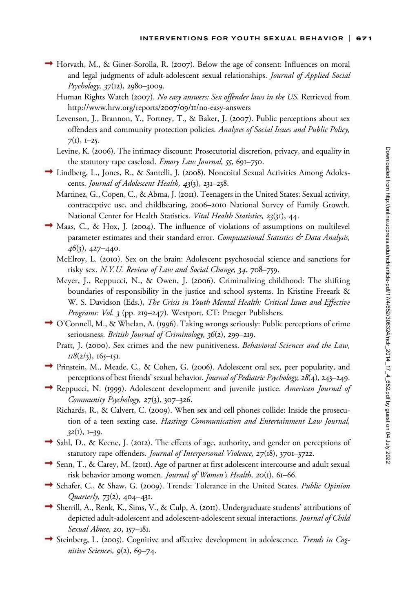- Horvath, M., & Giner-Sorolla, R. (2007). Below the age of consent: Influences on moral and legal judgments of adult-adolescent sexual relationships. Journal of Applied Social Psychology, 37(12), 2980-3009.
	- Human Rights Watch (2007). No easy answers: Sex offender laws in the US. Retrieved from http://www.hrw.org/reports/2007/09/11/no-easy-answers
	- Levenson, J., Brannon, Y., Fortney, T., & Baker, J. (2007). Public perceptions about sex offenders and community protection policies. Analyses of Social Issues and Public Policy,  $7(1), 1-25.$
	- Levine, K. (2006). The intimacy discount: Prosecutorial discretion, privacy, and equality in the statutory rape caseload. *Emory Law Journal*, 55, 691–750.
- Lindberg, L., Jones, R., & Santelli, J. (2008). Noncoital Sexual Activities Among Adolescents. Journal of Adolescent Health, 43(3), 231–238.
	- Martinez, G., Copen, C., & Abma, J. (2011). Teenagers in the United States: Sexual activity, contraceptive use, and childbearing, 2006–2010 National Survey of Family Growth. National Center for Health Statistics. Vital Health Statistics, 23(31), 44.
- $\rightarrow$  Maas, C., & Hox, J. (2004). The influence of violations of assumptions on multilevel parameter estimates and their standard error. Computational Statistics & Data Analysis, 46(3), 427–440.
	- McElroy, L. (2010). Sex on the brain: Adolescent psychosocial science and sanctions for risky sex. N.Y.U. Review of Law and Social Change, 34, 708–759.
	- Meyer, J., Reppucci, N., & Owen, J. (2006). Criminalizing childhood: The shifting boundaries of responsibility in the justice and school systems. In Kristine Freeark & W. S. Davidson (Eds.), The Crisis in Youth Mental Health: Critical Issues and Effective Programs: Vol. 3 (pp. 219–247). Westport, CT: Praeger Publishers.
- O'Connell, M., & Whelan, A. (1996). Taking wrongs seriously: Public perceptions of crime seriousness. British Journal of Criminology, 36(2), 299-219.
	- Pratt, J. (2000). Sex crimes and the new punitiveness. Behavioral Sciences and the Law,  $118(2/3), 165-151.$
- $\rightarrow$  Prinstein, M., Meade, C., & Cohen, G. (2006). Adolescent oral sex, peer popularity, and perceptions of best friends' sexual behavior. Journal of Pediatric Psychology, 28(4), 243–249.
- Reppucci, N. (1999). Adolescent development and juvenile justice. American Journal of Community Psychology, 27(3), 307–326.
	- Richards, R., & Calvert, C. (2009). When sex and cell phones collide: Inside the prosecution of a teen sexting case. Hastings Communication and Entertainment Law Journal,  $32(i), 1-39.$
- Sahl, D., & Keene, J. (2012). The effects of age, authority, and gender on perceptions of statutory rape offenders. Journal of Interpersonal Violence, 27(18), 3701-3722.
- Senn, T., & Carey, M. (2011). Age of partner at first adolescent intercourse and adult sexual risk behavior among women. Journal of Women's Health, 20(1), 61-66.
- Schafer, C., & Shaw, G. (2009). Trends: Tolerance in the United States. Public Opinion Quarterly, 73(2), 404–431.
- $\rightarrow$  Sherrill, A., Renk, K., Sims, V., & Culp, A. (2011). Undergraduate students' attributions of depicted adult-adolescent and adolescent-adolescent sexual interactions. Journal of Child Sexual Abuse, 20, 157-181.
- $\rightarrow$  Steinberg, L. (2005). Cognitive and affective development in adolescence. Trends in Cognitive Sciences, 9(2), 69–74.